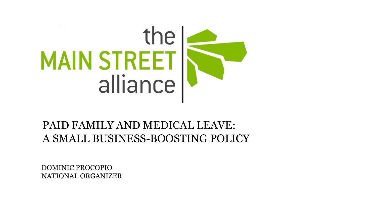

#### PAID FAMILY AND MEDICAL LEAVE: A SMALL BUSINESS-BOOSTING POLICY

DOMINIC PROCOPIO NATIONAL ORGANIZER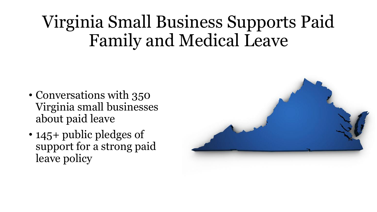# Virginia Small Business Supports Paid Family and Medical Leave

- Conversations with 350 Virginia small businesses about paid leave
- 145+ public pledges of support for a strong paid leave policy

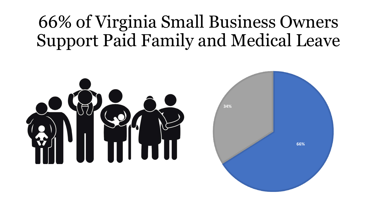# 66% of Virginia Small Business Owners Support Paid Family and Medical Leave

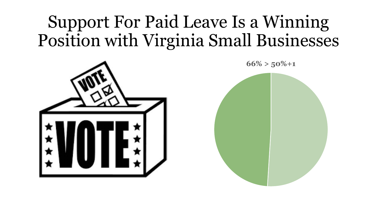# Support For Paid Leave Is a Winning Position with Virginia Small Businesses



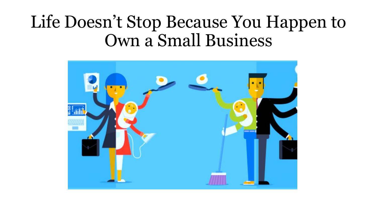#### Life Doesn't Stop Because You Happen to Own a Small Business

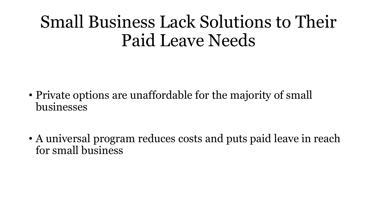#### Small Business Lack Solutions to Their Paid Leave Needs

- Private options are unaffordable for the majority of small businesses
- A universal program reduces costs and puts paid leave in reach for small business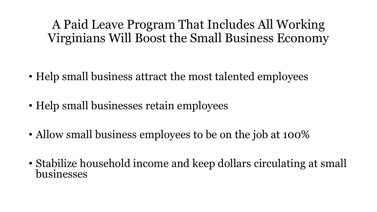A Paid Leave Program That Includes All Working Virginians Will Boost the Small Business Economy

- Help small business attract the most talented employees
- Help small businesses retain employees
- Allow small business employees to be on the job at 100%
- Stabilize household income and keep dollars circulating at small businesses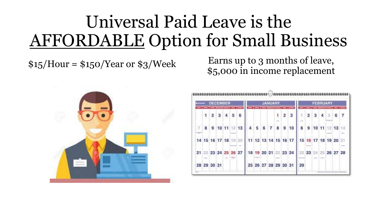# Universal Paid Leave is the AFFORDABLE Option for Small Business

 $$15/Hour = $150/Year or $3/Week$  Earns up to 3 months of leave, \$5,000 in income replacement



| <b>DECEMBER</b><br><b>COLUMN</b> |         |                |   |   |               |   | <b>JANUARY</b> |   |   |                |              |   |                      | <b>FEBRUARY</b>                                                |                |    |    |    |    |              |
|----------------------------------|---------|----------------|---|---|---------------|---|----------------|---|---|----------------|--------------|---|----------------------|----------------------------------------------------------------|----------------|----|----|----|----|--------------|
|                                  |         | $\overline{2}$ | 3 | 4 | 5             | 6 |                |   |   |                |              | 2 | 3                    | ă.<br><b>Hinda</b>                                             | $\overline{2}$ | 3  | 4  | 5  | 6  |              |
| 7                                | 8       |                |   |   | 9 10 11 12 13 |   | 4              | 5 | 6 | $\overline{7}$ | $\mathbf{8}$ | 9 | 10                   | 8                                                              | 9              | 10 | 11 | 12 | 13 | 14           |
|                                  |         |                |   |   |               |   |                |   |   |                |              |   |                      | 14 15 16 17 18 19 20 11 12 13 14 15 16 17 15 16 17 18 19 20    |                |    |    |    |    | <b>STATE</b> |
|                                  | distant |                |   |   |               |   |                |   |   |                |              |   |                      | 21 22 23 24 25 26 27 18 19 20 21 22 23 24 22 23 24 25 26 27 28 |                |    |    |    |    |              |
|                                  |         | 28 29 30 31    |   |   |               |   |                |   |   |                |              |   | 25 26 27 28 29 30 31 | 29                                                             |                |    |    |    |    |              |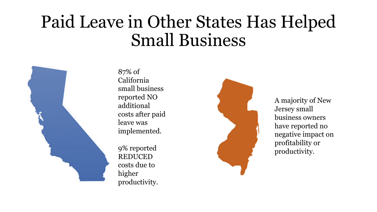#### Paid Leave in Other States Has Helped Small Business



87% of California small business reported NO additional costs after paid leave was implemented.

9% reported REDUCED costs due to higher productivity.



A majority of New Jersey small business owners have reported no negative impact on profitability or productivity.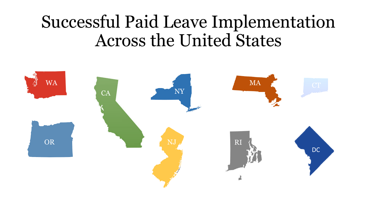#### Successful Paid Leave Implementation Across the United States

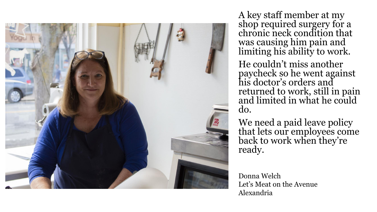

A key staff member at my shop required surgery for a chronic neck condition that was causing him pain and limiting his ability to work.

He couldn't miss another paycheck so he went against his doctor's orders and returned to work, still in pain and limited in what he could do.

We need a paid leave policy that lets our employees come back to work when they're ready.

Donna Welch Let's Meat on the Avenue Alexandria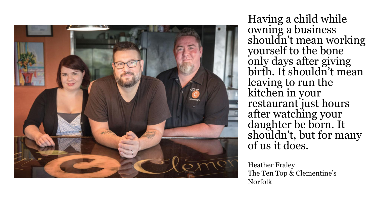

Having a child while owning a business shouldn't mean working yourself to the bone only days after giving birth. It shouldn't mean leaving to run the kitchen in your restaurant just hours after watching your daughter be born. It shouldn't, but for many of us it does.

Heather Fraley The Ten Top & Clementine's Norfolk